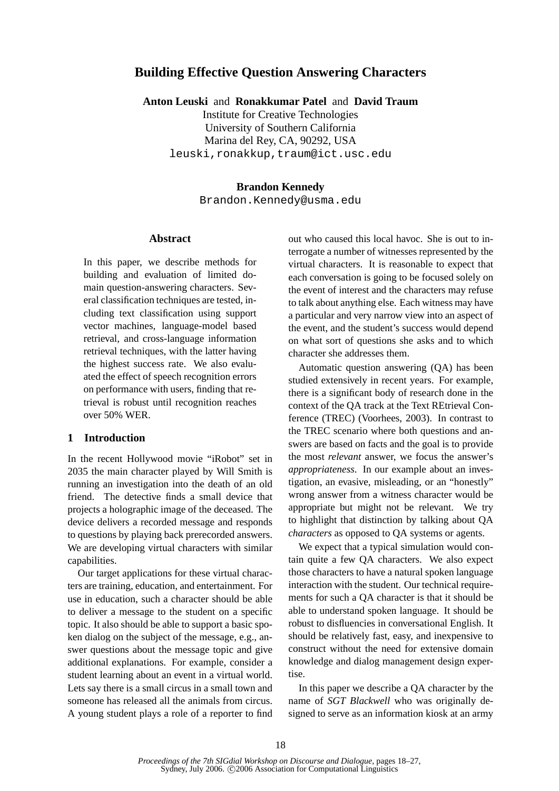# **Building Effective Question Answering Characters**

**Anton Leuski** and **Ronakkumar Patel** and **David Traum**

Institute for Creative Technologies University of Southern California Marina del Rey, CA, 90292, USA leuski,ronakkup,traum@ict.usc.edu

### **Brandon Kennedy**

Brandon.Kennedy@usma.edu

## **Abstract**

In this paper, we describe methods for building and evaluation of limited domain question-answering characters. Several classification techniques are tested, including text classification using support vector machines, language-model based retrieval, and cross-language information retrieval techniques, with the latter having the highest success rate. We also evaluated the effect of speech recognition errors on performance with users, finding that retrieval is robust until recognition reaches over 50% WER.

## **1 Introduction**

In the recent Hollywood movie "iRobot" set in 2035 the main character played by Will Smith is running an investigation into the death of an old friend. The detective finds a small device that projects a holographic image of the deceased. The device delivers a recorded message and responds to questions by playing back prerecorded answers. We are developing virtual characters with similar capabilities.

Our target applications for these virtual characters are training, education, and entertainment. For use in education, such a character should be able to deliver a message to the student on a specific topic. It also should be able to support a basic spoken dialog on the subject of the message, e.g., answer questions about the message topic and give additional explanations. For example, consider a student learning about an event in a virtual world. Lets say there is a small circus in a small town and someone has released all the animals from circus. A young student plays a role of a reporter to find out who caused this local havoc. She is out to interrogate a number of witnesses represented by the virtual characters. It is reasonable to expect that each conversation is going to be focused solely on the event of interest and the characters may refuse to talk about anything else. Each witness may have a particular and very narrow view into an aspect of the event, and the student's success would depend on what sort of questions she asks and to which character she addresses them.

Automatic question answering (QA) has been studied extensively in recent years. For example, there is a significant body of research done in the context of the QA track at the Text REtrieval Conference (TREC) (Voorhees, 2003). In contrast to the TREC scenario where both questions and answers are based on facts and the goal is to provide the most *relevant* answer, we focus the answer's *appropriateness*. In our example about an investigation, an evasive, misleading, or an "honestly" wrong answer from a witness character would be appropriate but might not be relevant. We try to highlight that distinction by talking about QA *characters* as opposed to QA systems or agents.

We expect that a typical simulation would contain quite a few QA characters. We also expect those characters to have a natural spoken language interaction with the student. Our technical requirements for such a QA character is that it should be able to understand spoken language. It should be robust to disfluencies in conversational English. It should be relatively fast, easy, and inexpensive to construct without the need for extensive domain knowledge and dialog management design expertise.

In this paper we describe a QA character by the name of *SGT Blackwell* who was originally designed to serve as an information kiosk at an army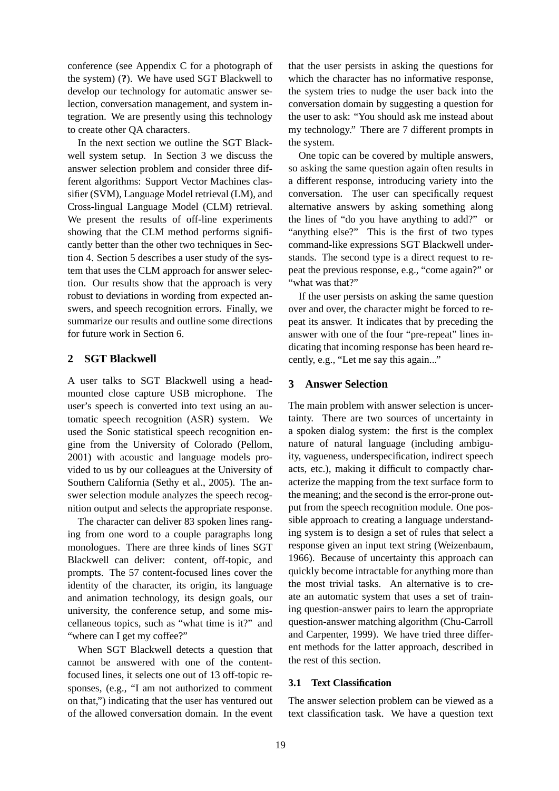conference (see Appendix C for a photograph of the system) (**?**). We have used SGT Blackwell to develop our technology for automatic answer selection, conversation management, and system integration. We are presently using this technology to create other QA characters.

In the next section we outline the SGT Blackwell system setup. In Section 3 we discuss the answer selection problem and consider three different algorithms: Support Vector Machines classifier (SVM), Language Model retrieval (LM), and Cross-lingual Language Model (CLM) retrieval. We present the results of off-line experiments showing that the CLM method performs significantly better than the other two techniques in Section 4. Section 5 describes a user study of the system that uses the CLM approach for answer selection. Our results show that the approach is very robust to deviations in wording from expected answers, and speech recognition errors. Finally, we summarize our results and outline some directions for future work in Section 6.

## **2 SGT Blackwell**

A user talks to SGT Blackwell using a headmounted close capture USB microphone. The user's speech is converted into text using an automatic speech recognition (ASR) system. We used the Sonic statistical speech recognition engine from the University of Colorado (Pellom, 2001) with acoustic and language models provided to us by our colleagues at the University of Southern California (Sethy et al., 2005). The answer selection module analyzes the speech recognition output and selects the appropriate response.

The character can deliver 83 spoken lines ranging from one word to a couple paragraphs long monologues. There are three kinds of lines SGT Blackwell can deliver: content, off-topic, and prompts. The 57 content-focused lines cover the identity of the character, its origin, its language and animation technology, its design goals, our university, the conference setup, and some miscellaneous topics, such as "what time is it?" and "where can I get my coffee?"

When SGT Blackwell detects a question that cannot be answered with one of the contentfocused lines, it selects one out of 13 off-topic responses, (e.g., "I am not authorized to comment on that,") indicating that the user has ventured out of the allowed conversation domain. In the event

that the user persists in asking the questions for which the character has no informative response. the system tries to nudge the user back into the conversation domain by suggesting a question for the user to ask: "You should ask me instead about my technology." There are 7 different prompts in the system.

One topic can be covered by multiple answers, so asking the same question again often results in a different response, introducing variety into the conversation. The user can specifically request alternative answers by asking something along the lines of "do you have anything to add?" or "anything else?" This is the first of two types command-like expressions SGT Blackwell understands. The second type is a direct request to repeat the previous response, e.g., "come again?" or "what was that?"

If the user persists on asking the same question over and over, the character might be forced to repeat its answer. It indicates that by preceding the answer with one of the four "pre-repeat" lines indicating that incoming response has been heard recently, e.g., "Let me say this again..."

## **3 Answer Selection**

The main problem with answer selection is uncertainty. There are two sources of uncertainty in a spoken dialog system: the first is the complex nature of natural language (including ambiguity, vagueness, underspecification, indirect speech acts, etc.), making it difficult to compactly characterize the mapping from the text surface form to the meaning; and the second is the error-prone output from the speech recognition module. One possible approach to creating a language understanding system is to design a set of rules that select a response given an input text string (Weizenbaum, 1966). Because of uncertainty this approach can quickly become intractable for anything more than the most trivial tasks. An alternative is to create an automatic system that uses a set of training question-answer pairs to learn the appropriate question-answer matching algorithm (Chu-Carroll and Carpenter, 1999). We have tried three different methods for the latter approach, described in the rest of this section.

## **3.1 Text Classification**

The answer selection problem can be viewed as a text classification task. We have a question text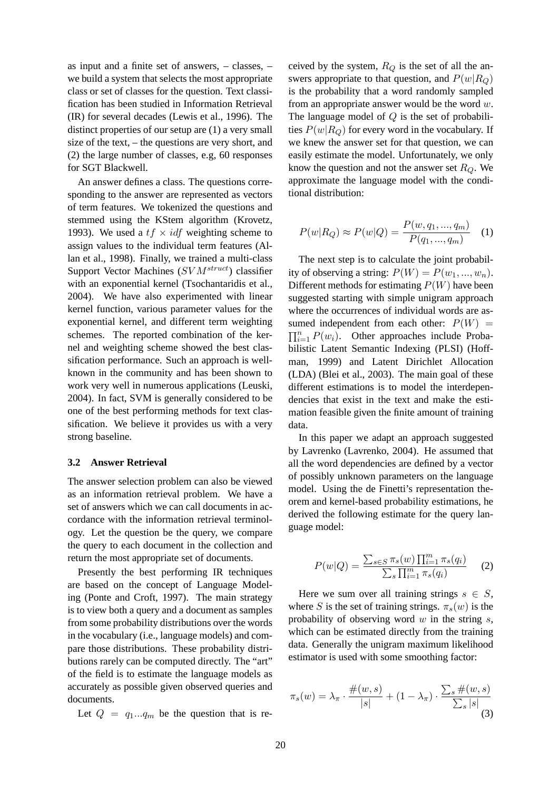as input and a finite set of answers, – classes, – we build a system that selects the most appropriate class or set of classes for the question. Text classification has been studied in Information Retrieval (IR) for several decades (Lewis et al., 1996). The distinct properties of our setup are (1) a very small size of the text, – the questions are very short, and (2) the large number of classes, e.g, 60 responses for SGT Blackwell.

An answer defines a class. The questions corresponding to the answer are represented as vectors of term features. We tokenized the questions and stemmed using the KStem algorithm (Krovetz, 1993). We used a  $tf \times idf$  weighting scheme to assign values to the individual term features (Allan et al., 1998). Finally, we trained a multi-class Support Vector Machines  $(SVM<sup>struct</sup>)$  classifier with an exponential kernel (Tsochantaridis et al., 2004). We have also experimented with linear kernel function, various parameter values for the exponential kernel, and different term weighting schemes. The reported combination of the kernel and weighting scheme showed the best classification performance. Such an approach is wellknown in the community and has been shown to work very well in numerous applications (Leuski, 2004). In fact, SVM is generally considered to be one of the best performing methods for text classification. We believe it provides us with a very strong baseline.

#### **3.2 Answer Retrieval**

The answer selection problem can also be viewed as an information retrieval problem. We have a set of answers which we can call documents in accordance with the information retrieval terminology. Let the question be the query, we compare the query to each document in the collection and return the most appropriate set of documents.

Presently the best performing IR techniques are based on the concept of Language Modeling (Ponte and Croft, 1997). The main strategy is to view both a query and a document as samples from some probability distributions over the words in the vocabulary (i.e., language models) and compare those distributions. These probability distributions rarely can be computed directly. The "art" of the field is to estimate the language models as accurately as possible given observed queries and documents.

Let  $Q = q_1...q_m$  be the question that is re-

ceived by the system,  $R_Q$  is the set of all the answers appropriate to that question, and  $P(w|R<sub>O</sub>)$ is the probability that a word randomly sampled from an appropriate answer would be the word  $w$ . The language model of  $Q$  is the set of probabilities  $P(w|R_Q)$  for every word in the vocabulary. If we knew the answer set for that question, we can easily estimate the model. Unfortunately, we only know the question and not the answer set  $R_Q$ . We approximate the language model with the conditional distribution:

$$
P(w|R_Q) \approx P(w|Q) = \frac{P(w, q_1, ..., q_m)}{P(q_1, ..., q_m)} \quad (1)
$$

The next step is to calculate the joint probability of observing a string:  $P(W) = P(w_1, ..., w_n)$ . Different methods for estimating  $P(W)$  have been suggested starting with simple unigram approach where the occurrences of individual words are assumed independent from each other:  $P(W)$  =  $\prod_{i=1}^{n} P(w_i)$ . Other approaches include Probabilistic Latent Semantic Indexing (PLSI) (Hoffman, 1999) and Latent Dirichlet Allocation (LDA) (Blei et al., 2003). The main goal of these different estimations is to model the interdependencies that exist in the text and make the estimation feasible given the finite amount of training data.

In this paper we adapt an approach suggested by Lavrenko (Lavrenko, 2004). He assumed that all the word dependencies are defined by a vector of possibly unknown parameters on the language model. Using the de Finetti's representation theorem and kernel-based probability estimations, he derived the following estimate for the query language model:

$$
P(w|Q) = \frac{\sum_{s \in S} \pi_s(w) \prod_{i=1}^m \pi_s(q_i)}{\sum_s \prod_{i=1}^m \pi_s(q_i)}
$$
 (2)

Here we sum over all training strings  $s \in S$ , where S is the set of training strings.  $\pi_s(w)$  is the probability of observing word  $w$  in the string  $s$ , which can be estimated directly from the training data. Generally the unigram maximum likelihood estimator is used with some smoothing factor:

$$
\pi_s(w) = \lambda_\pi \cdot \frac{\#(w, s)}{|s|} + (1 - \lambda_\pi) \cdot \frac{\sum_s \#(w, s)}{\sum_s |s|} \tag{3}
$$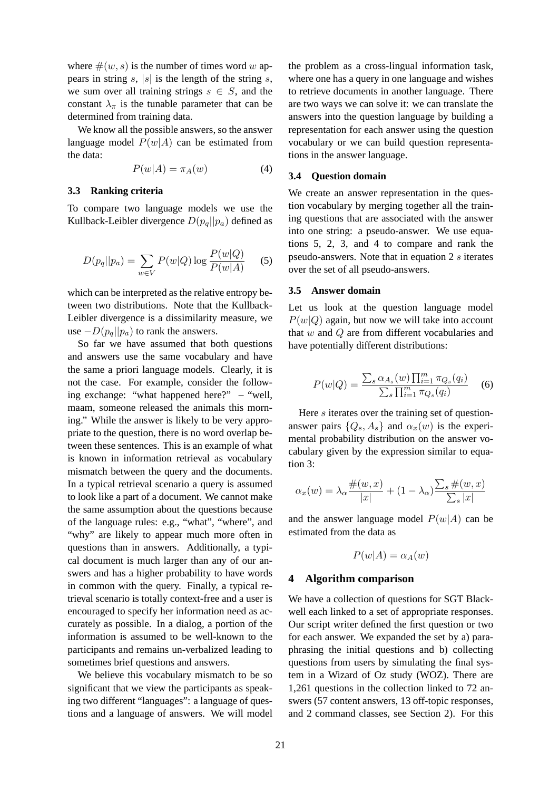where  $\#(w, s)$  is the number of times word w appears in string s, |s| is the length of the string s, we sum over all training strings  $s \in S$ , and the constant  $\lambda_{\pi}$  is the tunable parameter that can be determined from training data.

We know all the possible answers, so the answer language model  $P(w|A)$  can be estimated from the data:

$$
P(w|A) = \pi_A(w) \tag{4}
$$

### **3.3 Ranking criteria**

To compare two language models we use the Kullback-Leibler divergence  $D(p_a||p_a)$  defined as

$$
D(p_q||p_a) = \sum_{w \in V} P(w|Q) \log \frac{P(w|Q)}{P(w|A)} \tag{5}
$$

which can be interpreted as the relative entropy between two distributions. Note that the Kullback-Leibler divergence is a dissimilarity measure, we use  $-D(p_q||p_q)$  to rank the answers.

So far we have assumed that both questions and answers use the same vocabulary and have the same a priori language models. Clearly, it is not the case. For example, consider the following exchange: "what happened here?" – "well, maam, someone released the animals this morning." While the answer is likely to be very appropriate to the question, there is no word overlap between these sentences. This is an example of what is known in information retrieval as vocabulary mismatch between the query and the documents. In a typical retrieval scenario a query is assumed to look like a part of a document. We cannot make the same assumption about the questions because of the language rules: e.g., "what", "where", and "why" are likely to appear much more often in questions than in answers. Additionally, a typical document is much larger than any of our answers and has a higher probability to have words in common with the query. Finally, a typical retrieval scenario is totally context-free and a user is encouraged to specify her information need as accurately as possible. In a dialog, a portion of the information is assumed to be well-known to the participants and remains un-verbalized leading to sometimes brief questions and answers.

We believe this vocabulary mismatch to be so significant that we view the participants as speaking two different "languages": a language of questions and a language of answers. We will model

the problem as a cross-lingual information task, where one has a query in one language and wishes to retrieve documents in another language. There are two ways we can solve it: we can translate the answers into the question language by building a representation for each answer using the question vocabulary or we can build question representations in the answer language.

#### **3.4 Question domain**

We create an answer representation in the question vocabulary by merging together all the training questions that are associated with the answer into one string: a pseudo-answer. We use equations 5, 2, 3, and 4 to compare and rank the pseudo-answers. Note that in equation  $2 s$  iterates over the set of all pseudo-answers.

#### **3.5 Answer domain**

Let us look at the question language model  $P(w|Q)$  again, but now we will take into account that w and Q are from different vocabularies and have potentially different distributions:

$$
P(w|Q) = \frac{\sum_{s} \alpha_{A_s}(w) \prod_{i=1}^{m} \pi_{Q_s}(q_i)}{\sum_{s} \prod_{i=1}^{m} \pi_{Q_s}(q_i)}
$$
 (6)

Here s iterates over the training set of questionanswer pairs  $\{Q_s, A_s\}$  and  $\alpha_x(w)$  is the experimental probability distribution on the answer vocabulary given by the expression similar to equation 3:

$$
\alpha_x(w) = \lambda_\alpha \frac{\#(w, x)}{|x|} + (1 - \lambda_\alpha) \frac{\sum_s \#(w, x)}{\sum_s |x|}
$$

and the answer language model  $P(w|A)$  can be estimated from the data as

$$
P(w|A) = \alpha_A(w)
$$

### **4 Algorithm comparison**

We have a collection of questions for SGT Blackwell each linked to a set of appropriate responses. Our script writer defined the first question or two for each answer. We expanded the set by a) paraphrasing the initial questions and b) collecting questions from users by simulating the final system in a Wizard of Oz study (WOZ). There are 1,261 questions in the collection linked to 72 answers (57 content answers, 13 off-topic responses, and 2 command classes, see Section 2). For this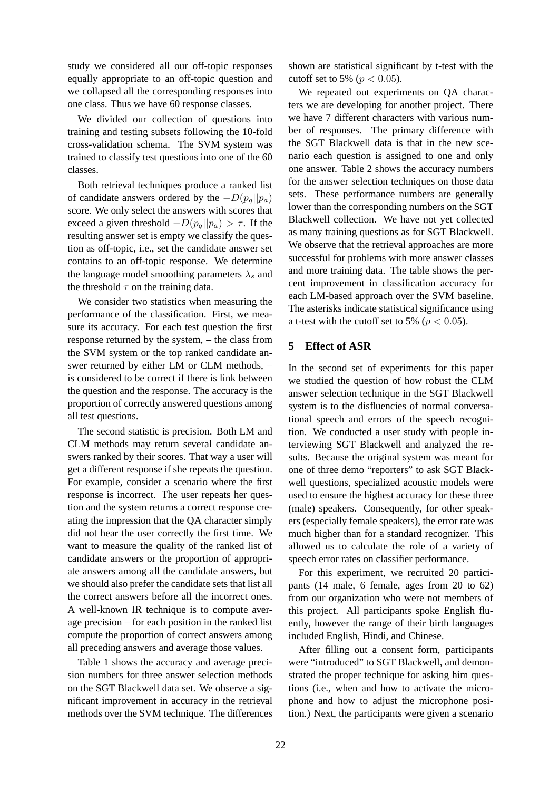study we considered all our off-topic responses equally appropriate to an off-topic question and we collapsed all the corresponding responses into one class. Thus we have 60 response classes.

We divided our collection of questions into training and testing subsets following the 10-fold cross-validation schema. The SVM system was trained to classify test questions into one of the 60 classes.

Both retrieval techniques produce a ranked list of candidate answers ordered by the  $-D(p_q||p_q)$ score. We only select the answers with scores that exceed a given threshold  $-D(p_q||p_q) > \tau$ . If the resulting answer set is empty we classify the question as off-topic, i.e., set the candidate answer set contains to an off-topic response. We determine the language model smoothing parameters  $\lambda_s$  and the threshold  $\tau$  on the training data.

We consider two statistics when measuring the performance of the classification. First, we measure its accuracy. For each test question the first response returned by the system, – the class from the SVM system or the top ranked candidate answer returned by either LM or CLM methods, – is considered to be correct if there is link between the question and the response. The accuracy is the proportion of correctly answered questions among all test questions.

The second statistic is precision. Both LM and CLM methods may return several candidate answers ranked by their scores. That way a user will get a different response if she repeats the question. For example, consider a scenario where the first response is incorrect. The user repeats her question and the system returns a correct response creating the impression that the QA character simply did not hear the user correctly the first time. We want to measure the quality of the ranked list of candidate answers or the proportion of appropriate answers among all the candidate answers, but we should also prefer the candidate sets that list all the correct answers before all the incorrect ones. A well-known IR technique is to compute average precision – for each position in the ranked list compute the proportion of correct answers among all preceding answers and average those values.

Table 1 shows the accuracy and average precision numbers for three answer selection methods on the SGT Blackwell data set. We observe a significant improvement in accuracy in the retrieval methods over the SVM technique. The differences

shown are statistical significant by t-test with the cutoff set to 5% ( $p < 0.05$ ).

We repeated out experiments on QA characters we are developing for another project. There we have 7 different characters with various number of responses. The primary difference with the SGT Blackwell data is that in the new scenario each question is assigned to one and only one answer. Table 2 shows the accuracy numbers for the answer selection techniques on those data sets. These performance numbers are generally lower than the corresponding numbers on the SGT Blackwell collection. We have not yet collected as many training questions as for SGT Blackwell. We observe that the retrieval approaches are more successful for problems with more answer classes and more training data. The table shows the percent improvement in classification accuracy for each LM-based approach over the SVM baseline. The asterisks indicate statistical significance using a t-test with the cutoff set to 5% ( $p < 0.05$ ).

## **5 Effect of ASR**

In the second set of experiments for this paper we studied the question of how robust the CLM answer selection technique in the SGT Blackwell system is to the disfluencies of normal conversational speech and errors of the speech recognition. We conducted a user study with people interviewing SGT Blackwell and analyzed the results. Because the original system was meant for one of three demo "reporters" to ask SGT Blackwell questions, specialized acoustic models were used to ensure the highest accuracy for these three (male) speakers. Consequently, for other speakers (especially female speakers), the error rate was much higher than for a standard recognizer. This allowed us to calculate the role of a variety of speech error rates on classifier performance.

For this experiment, we recruited 20 participants (14 male, 6 female, ages from 20 to 62) from our organization who were not members of this project. All participants spoke English fluently, however the range of their birth languages included English, Hindi, and Chinese.

After filling out a consent form, participants were "introduced" to SGT Blackwell, and demonstrated the proper technique for asking him questions (i.e., when and how to activate the microphone and how to adjust the microphone position.) Next, the participants were given a scenario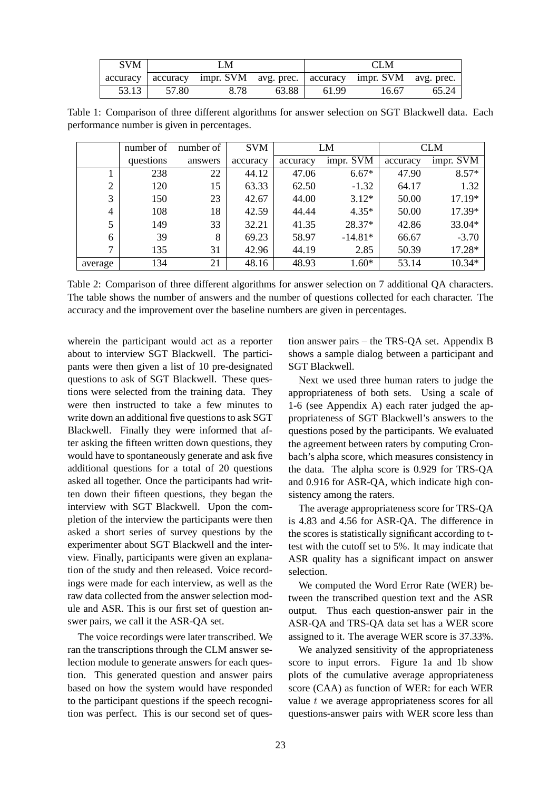| <b>SVM</b> | LM    |                                                                        |       | <b>CLM</b> |       |       |
|------------|-------|------------------------------------------------------------------------|-------|------------|-------|-------|
|            |       | accuracy accuracy impr. SVM avg. prec.   accuracy impr. SVM avg. prec. |       |            |       |       |
| 53.13      | 57.80 | 8.78                                                                   | 63.88 | 61.99      | 16.67 | 65.24 |

Table 1: Comparison of three different algorithms for answer selection on SGT Blackwell data. Each performance number is given in percentages.

|                | number of | number of | <b>SVM</b> | LM       |           | <b>CLM</b> |           |
|----------------|-----------|-----------|------------|----------|-----------|------------|-----------|
|                | questions | answers   | accuracy   | accuracy | impr. SVM | accuracy   | impr. SVM |
|                | 238       | 22        | 44.12      | 47.06    | $6.67*$   | 47.90      | $8.57*$   |
| $\overline{2}$ | 120       | 15        | 63.33      | 62.50    | $-1.32$   | 64.17      | 1.32      |
| 3              | 150       | 23        | 42.67      | 44.00    | $3.12*$   | 50.00      | 17.19*    |
| 4              | 108       | 18        | 42.59      | 44.44    | $4.35*$   | 50.00      | 17.39*    |
| 5              | 149       | 33        | 32.21      | 41.35    | 28.37*    | 42.86      | 33.04*    |
| 6              | 39        | 8         | 69.23      | 58.97    | $-14.81*$ | 66.67      | $-3.70$   |
| $\overline{7}$ | 135       | 31        | 42.96      | 44.19    | 2.85      | 50.39      | 17.28*    |
| average        | 134       | 21        | 48.16      | 48.93    | $1.60*$   | 53.14      | 10.34*    |

Table 2: Comparison of three different algorithms for answer selection on 7 additional QA characters. The table shows the number of answers and the number of questions collected for each character. The accuracy and the improvement over the baseline numbers are given in percentages.

wherein the participant would act as a reporter about to interview SGT Blackwell. The participants were then given a list of 10 pre-designated questions to ask of SGT Blackwell. These questions were selected from the training data. They were then instructed to take a few minutes to write down an additional five questions to ask SGT Blackwell. Finally they were informed that after asking the fifteen written down questions, they would have to spontaneously generate and ask five additional questions for a total of 20 questions asked all together. Once the participants had written down their fifteen questions, they began the interview with SGT Blackwell. Upon the completion of the interview the participants were then asked a short series of survey questions by the experimenter about SGT Blackwell and the interview. Finally, participants were given an explanation of the study and then released. Voice recordings were made for each interview, as well as the raw data collected from the answer selection module and ASR. This is our first set of question answer pairs, we call it the ASR-QA set.

The voice recordings were later transcribed. We ran the transcriptions through the CLM answer selection module to generate answers for each question. This generated question and answer pairs based on how the system would have responded to the participant questions if the speech recognition was perfect. This is our second set of question answer pairs – the TRS-QA set. Appendix B shows a sample dialog between a participant and SGT Blackwell.

Next we used three human raters to judge the appropriateness of both sets. Using a scale of 1-6 (see Appendix A) each rater judged the appropriateness of SGT Blackwell's answers to the questions posed by the participants. We evaluated the agreement between raters by computing Cronbach's alpha score, which measures consistency in the data. The alpha score is 0.929 for TRS-QA and 0.916 for ASR-QA, which indicate high consistency among the raters.

The average appropriateness score for TRS-QA is 4.83 and 4.56 for ASR-QA. The difference in the scores is statistically significant according to ttest with the cutoff set to 5%. It may indicate that ASR quality has a significant impact on answer selection.

We computed the Word Error Rate (WER) between the transcribed question text and the ASR output. Thus each question-answer pair in the ASR-QA and TRS-QA data set has a WER score assigned to it. The average WER score is 37.33%.

We analyzed sensitivity of the appropriateness score to input errors. Figure 1a and 1b show plots of the cumulative average appropriateness score (CAA) as function of WER: for each WER value  $t$  we average appropriateness scores for all questions-answer pairs with WER score less than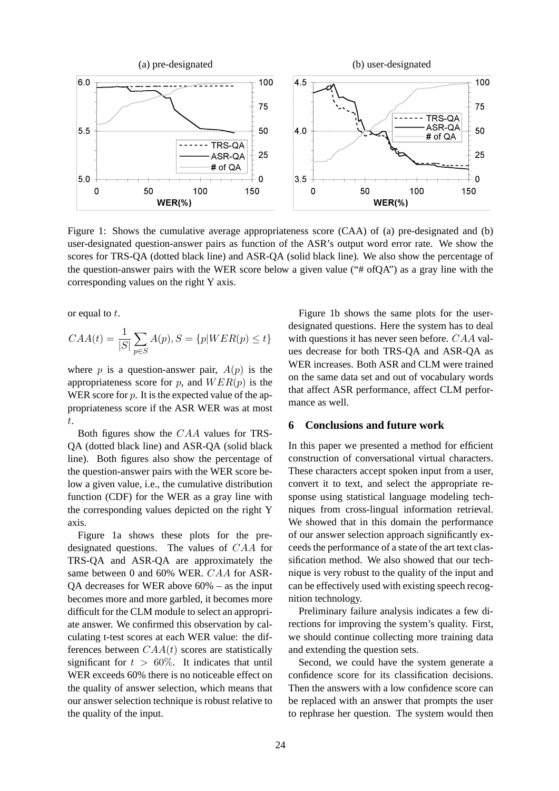

Figure 1: Shows the cumulative average appropriateness score (CAA) of (a) pre-designated and (b) user-designated question-answer pairs as function of the ASR's output word error rate. We show the scores for TRS-QA (dotted black line) and ASR-QA (solid black line). We also show the percentage of the question-answer pairs with the WER score below a given value ("# ofQA") as a gray line with the corresponding values on the right Y axis.

or equal to t.

$$
CAA(t) = \frac{1}{|S|} \sum_{p \in S} A(p), S = \{p|WER(p) \le t\}
$$

where p is a question-answer pair,  $A(p)$  is the appropriateness score for p, and  $WER(p)$  is the WER score for  $p$ . It is the expected value of the appropriateness score if the ASR WER was at most t.

Both figures show the CAA values for TRS-QA (dotted black line) and ASR-QA (solid black line). Both figures also show the percentage of the question-answer pairs with the WER score below a given value, i.e., the cumulative distribution function (CDF) for the WER as a gray line with the corresponding values depicted on the right Y axis.

Figure 1a shows these plots for the predesignated questions. The values of CAA for TRS-QA and ASR-QA are approximately the same between 0 and 60% WER. CAA for ASR- $OA$  decreases for WER above  $60\%$  – as the input becomes more and more garbled, it becomes more difficult for the CLM module to select an appropriate answer. We confirmed this observation by calculating t-test scores at each WER value: the differences between  $CAA(t)$  scores are statistically significant for  $t > 60\%$ . It indicates that until WER exceeds 60% there is no noticeable effect on the quality of answer selection, which means that our answer selection technique is robust relative to the quality of the input.

Figure 1b shows the same plots for the userdesignated questions. Here the system has to deal with questions it has never seen before. CAA values decrease for both TRS-QA and ASR-QA as WER increases. Both ASR and CLM were trained on the same data set and out of vocabulary words that affect ASR performance, affect CLM performance as well.

## **6 Conclusions and future work**

In this paper we presented a method for efficient construction of conversational virtual characters. These characters accept spoken input from a user, convert it to text, and select the appropriate response using statistical language modeling techniques from cross-lingual information retrieval. We showed that in this domain the performance of our answer selection approach significantly exceeds the performance of a state of the art text classification method. We also showed that our technique is very robust to the quality of the input and can be effectively used with existing speech recognition technology.

Preliminary failure analysis indicates a few directions for improving the system's quality. First, we should continue collecting more training data and extending the question sets.

Second, we could have the system generate a confidence score for its classification decisions. Then the answers with a low confidence score can be replaced with an answer that prompts the user to rephrase her question. The system would then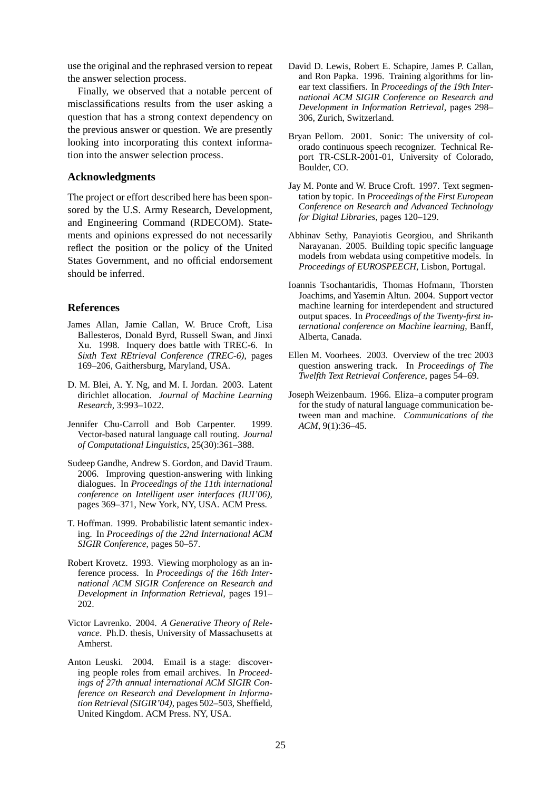use the original and the rephrased version to repeat the answer selection process.

Finally, we observed that a notable percent of misclassifications results from the user asking a question that has a strong context dependency on the previous answer or question. We are presently looking into incorporating this context information into the answer selection process.

### **Acknowledgments**

The project or effort described here has been sponsored by the U.S. Army Research, Development, and Engineering Command (RDECOM). Statements and opinions expressed do not necessarily reflect the position or the policy of the United States Government, and no official endorsement should be inferred.

### **References**

- James Allan, Jamie Callan, W. Bruce Croft, Lisa Ballesteros, Donald Byrd, Russell Swan, and Jinxi Xu. 1998. Inquery does battle with TREC-6. In *Sixth Text REtrieval Conference (TREC-6)*, pages 169–206, Gaithersburg, Maryland, USA.
- D. M. Blei, A. Y. Ng, and M. I. Jordan. 2003. Latent dirichlet allocation. *Journal of Machine Learning Research*, 3:993–1022.
- Jennifer Chu-Carroll and Bob Carpenter. 1999. Vector-based natural language call routing. *Journal of Computational Linguistics*, 25(30):361–388.
- Sudeep Gandhe, Andrew S. Gordon, and David Traum. 2006. Improving question-answering with linking dialogues. In *Proceedings of the 11th international conference on Intelligent user interfaces (IUI'06)*, pages 369–371, New York, NY, USA. ACM Press.
- T. Hoffman. 1999. Probabilistic latent semantic indexing. In *Proceedings of the 22nd International ACM SIGIR Conference*, pages 50–57.
- Robert Krovetz. 1993. Viewing morphology as an inference process. In *Proceedings of the 16th International ACM SIGIR Conference on Research and Development in Information Retrieval*, pages 191– 202.
- Victor Lavrenko. 2004. *A Generative Theory of Relevance*. Ph.D. thesis, University of Massachusetts at Amherst.
- Anton Leuski. 2004. Email is a stage: discovering people roles from email archives. In *Proceedings of 27th annual international ACM SIGIR Conference on Research and Development in Information Retrieval (SIGIR'04)*, pages 502–503, Sheffield, United Kingdom. ACM Press. NY, USA.
- David D. Lewis, Robert E. Schapire, James P. Callan, and Ron Papka. 1996. Training algorithms for linear text classifiers. In *Proceedings of the 19th International ACM SIGIR Conference on Research and Development in Information Retrieval*, pages 298– 306, Zurich, Switzerland.
- Bryan Pellom. 2001. Sonic: The university of colorado continuous speech recognizer. Technical Report TR-CSLR-2001-01, University of Colorado, Boulder, CO.
- Jay M. Ponte and W. Bruce Croft. 1997. Text segmentation by topic. In *Proceedings of the First European Conference on Research and Advanced Technology for Digital Libraries*, pages 120–129.
- Abhinav Sethy, Panayiotis Georgiou, and Shrikanth Narayanan. 2005. Building topic specific language models from webdata using competitive models. In *Proceedings of EUROSPEECH*, Lisbon, Portugal.
- Ioannis Tsochantaridis, Thomas Hofmann, Thorsten Joachims, and Yasemin Altun. 2004. Support vector machine learning for interdependent and structured output spaces. In *Proceedings of the Twenty-first international conference on Machine learning*, Banff, Alberta, Canada.
- Ellen M. Voorhees. 2003. Overview of the trec 2003 question answering track. In *Proceedings of The Twelfth Text Retrieval Conference*, pages 54–69.
- Joseph Weizenbaum. 1966. Eliza–a computer program for the study of natural language communication between man and machine. *Communications of the ACM*, 9(1):36–45.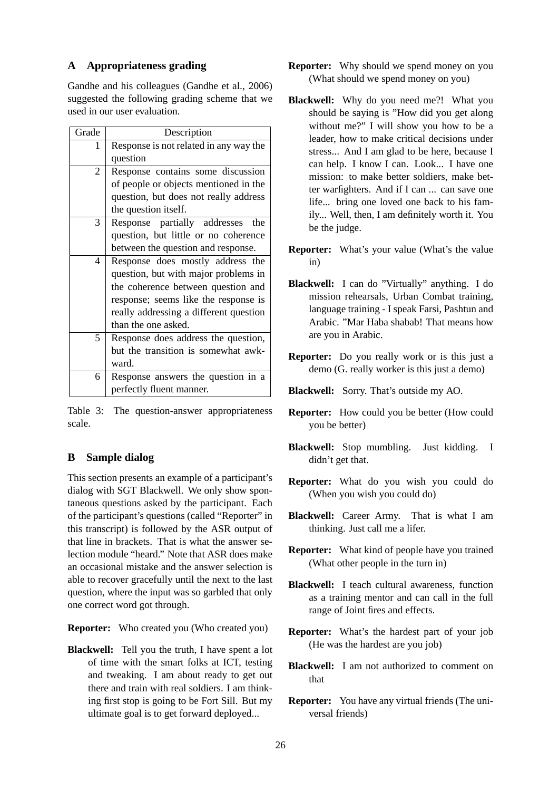# **A Appropriateness grading**

Gandhe and his colleagues (Gandhe et al., 2006) suggested the following grading scheme that we used in our user evaluation.

| Grade          | Description                            |
|----------------|----------------------------------------|
| 1              | Response is not related in any way the |
|                | question                               |
| $\overline{2}$ | Response contains some discussion      |
|                | of people or objects mentioned in the  |
|                | question, but does not really address  |
|                | the question itself.                   |
| 3              | Response partially addresses<br>the    |
|                | question, but little or no coherence   |
|                | between the question and response.     |
| 4              | Response does mostly address the       |
|                | question, but with major problems in   |
|                | the coherence between question and     |
|                | response; seems like the response is   |
|                | really addressing a different question |
|                | than the one asked.                    |
| 5              | Response does address the question,    |
|                | but the transition is somewhat awk-    |
|                | ward.                                  |
| 6              | Response answers the question in a     |
|                | perfectly fluent manner.               |

Table 3: The question-answer appropriateness scale.

# **B Sample dialog**

This section presents an example of a participant's dialog with SGT Blackwell. We only show spontaneous questions asked by the participant. Each of the participant's questions (called "Reporter" in this transcript) is followed by the ASR output of that line in brackets. That is what the answer selection module "heard." Note that ASR does make an occasional mistake and the answer selection is able to recover gracefully until the next to the last question, where the input was so garbled that only one correct word got through.

**Reporter:** Who created you (Who created you)

**Blackwell:** Tell you the truth, I have spent a lot of time with the smart folks at ICT, testing and tweaking. I am about ready to get out there and train with real soldiers. I am thinking first stop is going to be Fort Sill. But my ultimate goal is to get forward deployed...

- **Reporter:** Why should we spend money on you (What should we spend money on you)
- **Blackwell:** Why do you need me?! What you should be saying is "How did you get along without me?" I will show you how to be a leader, how to make critical decisions under stress... And I am glad to be here, because I can help. I know I can. Look... I have one mission: to make better soldiers, make better warfighters. And if I can ... can save one life... bring one loved one back to his family... Well, then, I am definitely worth it. You be the judge.
- **Reporter:** What's your value (What's the value in)
- **Blackwell:** I can do "Virtually" anything. I do mission rehearsals, Urban Combat training, language training - I speak Farsi, Pashtun and Arabic. "Mar Haba shabab! That means how are you in Arabic.
- **Reporter:** Do you really work or is this just a demo (G. really worker is this just a demo)
- **Blackwell:** Sorry. That's outside my AO.
- **Reporter:** How could you be better (How could you be better)
- **Blackwell:** Stop mumbling. Just kidding. I didn't get that.
- **Reporter:** What do you wish you could do (When you wish you could do)
- **Blackwell:** Career Army. That is what I am thinking. Just call me a lifer.
- **Reporter:** What kind of people have you trained (What other people in the turn in)
- **Blackwell:** I teach cultural awareness, function as a training mentor and can call in the full range of Joint fires and effects.
- **Reporter:** What's the hardest part of your job (He was the hardest are you job)
- **Blackwell:** I am not authorized to comment on that
- **Reporter:** You have any virtual friends (The universal friends)